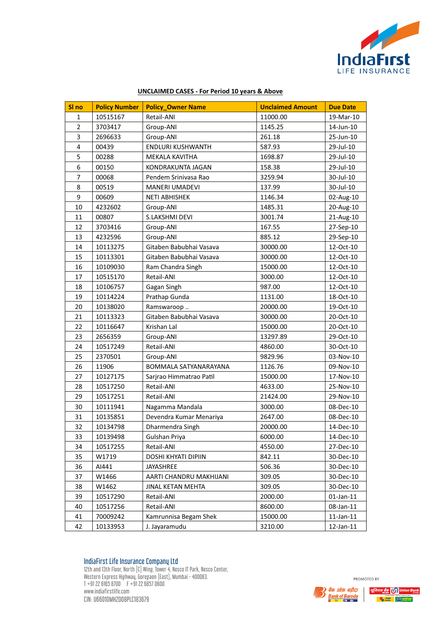

| SI no<br><b>Policy Number</b><br><b>Policy_Owner Name</b><br><b>Unclaimed Amount</b><br><b>Due Date</b><br>10515167<br>11000.00<br>19-Mar-10<br>1<br>Retail-ANI<br>$\overline{2}$<br>1145.25<br>3703417<br>14-Jun-10<br>Group-ANI<br>3<br>2696633<br>261.18<br>25-Jun-10<br>Group-ANI<br>$\overline{4}$<br>00439<br>ENDLURI KUSHWANTH<br>587.93<br>29-Jul-10<br>5<br>00288<br>1698.87<br>29-Jul-10<br>MEKALA KAVITHA<br>6<br>00150<br>KONDRAKUNTA JAGAN<br>158.38<br>29-Jul-10<br>7<br>00068<br>Pendem Srinivasa Rao<br>3259.94<br>30-Jul-10<br>8<br>MANERI UMADEVI<br>30-Jul-10<br>00519<br>137.99<br>9<br>00609<br><b>NETI ABHISHEK</b><br>1146.34<br>02-Aug-10<br>10<br>4232602<br>Group-ANI<br>1485.31<br>20-Aug-10<br>11<br>00807<br>S.LAKSHMI DEVI<br>3001.74<br>21-Aug-10<br>12<br>3703416<br>Group-ANI<br>167.55<br>27-Sep-10<br>13<br>4232596<br>885.12<br>Group-ANI<br>29-Sep-10<br>14<br>Gitaben Babubhai Vasava<br>10113275<br>30000.00<br>12-Oct-10<br>15<br>10113301<br>Gitaben Babubhai Vasava<br>30000.00<br>12-Oct-10<br>16<br>10109030<br>Ram Chandra Singh<br>15000.00<br>12-Oct-10<br>17<br>10515170<br>Retail-ANI<br>3000.00<br>12-Oct-10 |
|----------------------------------------------------------------------------------------------------------------------------------------------------------------------------------------------------------------------------------------------------------------------------------------------------------------------------------------------------------------------------------------------------------------------------------------------------------------------------------------------------------------------------------------------------------------------------------------------------------------------------------------------------------------------------------------------------------------------------------------------------------------------------------------------------------------------------------------------------------------------------------------------------------------------------------------------------------------------------------------------------------------------------------------------------------------------------------------------------------------------------------------------------------------|
|                                                                                                                                                                                                                                                                                                                                                                                                                                                                                                                                                                                                                                                                                                                                                                                                                                                                                                                                                                                                                                                                                                                                                                |
|                                                                                                                                                                                                                                                                                                                                                                                                                                                                                                                                                                                                                                                                                                                                                                                                                                                                                                                                                                                                                                                                                                                                                                |
|                                                                                                                                                                                                                                                                                                                                                                                                                                                                                                                                                                                                                                                                                                                                                                                                                                                                                                                                                                                                                                                                                                                                                                |
|                                                                                                                                                                                                                                                                                                                                                                                                                                                                                                                                                                                                                                                                                                                                                                                                                                                                                                                                                                                                                                                                                                                                                                |
|                                                                                                                                                                                                                                                                                                                                                                                                                                                                                                                                                                                                                                                                                                                                                                                                                                                                                                                                                                                                                                                                                                                                                                |
|                                                                                                                                                                                                                                                                                                                                                                                                                                                                                                                                                                                                                                                                                                                                                                                                                                                                                                                                                                                                                                                                                                                                                                |
|                                                                                                                                                                                                                                                                                                                                                                                                                                                                                                                                                                                                                                                                                                                                                                                                                                                                                                                                                                                                                                                                                                                                                                |
|                                                                                                                                                                                                                                                                                                                                                                                                                                                                                                                                                                                                                                                                                                                                                                                                                                                                                                                                                                                                                                                                                                                                                                |
|                                                                                                                                                                                                                                                                                                                                                                                                                                                                                                                                                                                                                                                                                                                                                                                                                                                                                                                                                                                                                                                                                                                                                                |
|                                                                                                                                                                                                                                                                                                                                                                                                                                                                                                                                                                                                                                                                                                                                                                                                                                                                                                                                                                                                                                                                                                                                                                |
|                                                                                                                                                                                                                                                                                                                                                                                                                                                                                                                                                                                                                                                                                                                                                                                                                                                                                                                                                                                                                                                                                                                                                                |
|                                                                                                                                                                                                                                                                                                                                                                                                                                                                                                                                                                                                                                                                                                                                                                                                                                                                                                                                                                                                                                                                                                                                                                |
|                                                                                                                                                                                                                                                                                                                                                                                                                                                                                                                                                                                                                                                                                                                                                                                                                                                                                                                                                                                                                                                                                                                                                                |
|                                                                                                                                                                                                                                                                                                                                                                                                                                                                                                                                                                                                                                                                                                                                                                                                                                                                                                                                                                                                                                                                                                                                                                |
|                                                                                                                                                                                                                                                                                                                                                                                                                                                                                                                                                                                                                                                                                                                                                                                                                                                                                                                                                                                                                                                                                                                                                                |
|                                                                                                                                                                                                                                                                                                                                                                                                                                                                                                                                                                                                                                                                                                                                                                                                                                                                                                                                                                                                                                                                                                                                                                |
|                                                                                                                                                                                                                                                                                                                                                                                                                                                                                                                                                                                                                                                                                                                                                                                                                                                                                                                                                                                                                                                                                                                                                                |
|                                                                                                                                                                                                                                                                                                                                                                                                                                                                                                                                                                                                                                                                                                                                                                                                                                                                                                                                                                                                                                                                                                                                                                |
| 18<br>10106757<br>Gagan Singh<br>987.00<br>12-Oct-10                                                                                                                                                                                                                                                                                                                                                                                                                                                                                                                                                                                                                                                                                                                                                                                                                                                                                                                                                                                                                                                                                                           |
| 19<br>Prathap Gunda<br>10114224<br>1131.00<br>18-Oct-10                                                                                                                                                                                                                                                                                                                                                                                                                                                                                                                                                                                                                                                                                                                                                                                                                                                                                                                                                                                                                                                                                                        |
| 20<br>20000.00<br>19-Oct-10<br>10138020<br>Ramswaroop                                                                                                                                                                                                                                                                                                                                                                                                                                                                                                                                                                                                                                                                                                                                                                                                                                                                                                                                                                                                                                                                                                          |
| 21<br>10113323<br>Gitaben Babubhai Vasava<br>20-Oct-10<br>30000.00                                                                                                                                                                                                                                                                                                                                                                                                                                                                                                                                                                                                                                                                                                                                                                                                                                                                                                                                                                                                                                                                                             |
| 22<br>10116647<br>Krishan Lal<br>15000.00<br>20-Oct-10                                                                                                                                                                                                                                                                                                                                                                                                                                                                                                                                                                                                                                                                                                                                                                                                                                                                                                                                                                                                                                                                                                         |
| 23<br>2656359<br>13297.89<br>29-Oct-10<br>Group-ANI                                                                                                                                                                                                                                                                                                                                                                                                                                                                                                                                                                                                                                                                                                                                                                                                                                                                                                                                                                                                                                                                                                            |
| 24<br>Retail-ANI<br>30-Oct-10<br>10517249<br>4860.00                                                                                                                                                                                                                                                                                                                                                                                                                                                                                                                                                                                                                                                                                                                                                                                                                                                                                                                                                                                                                                                                                                           |
| 25<br>2370501<br>9829.96<br>03-Nov-10<br>Group-ANI                                                                                                                                                                                                                                                                                                                                                                                                                                                                                                                                                                                                                                                                                                                                                                                                                                                                                                                                                                                                                                                                                                             |
| 26<br>11906<br>BOMMALA SATYANARAYANA<br>1126.76<br>09-Nov-10                                                                                                                                                                                                                                                                                                                                                                                                                                                                                                                                                                                                                                                                                                                                                                                                                                                                                                                                                                                                                                                                                                   |
| 27<br>10127175<br>Sarjrao Himmatrao Patil<br>15000.00<br>17-Nov-10                                                                                                                                                                                                                                                                                                                                                                                                                                                                                                                                                                                                                                                                                                                                                                                                                                                                                                                                                                                                                                                                                             |
| 28<br>10517250<br>Retail-ANI<br>4633.00<br>25-Nov-10                                                                                                                                                                                                                                                                                                                                                                                                                                                                                                                                                                                                                                                                                                                                                                                                                                                                                                                                                                                                                                                                                                           |
| 29<br>10517251<br>29-Nov-10<br>Retail-ANI<br>21424.00                                                                                                                                                                                                                                                                                                                                                                                                                                                                                                                                                                                                                                                                                                                                                                                                                                                                                                                                                                                                                                                                                                          |
| 30<br>10111941<br>Nagamma Mandala<br>3000.00<br>08-Dec-10                                                                                                                                                                                                                                                                                                                                                                                                                                                                                                                                                                                                                                                                                                                                                                                                                                                                                                                                                                                                                                                                                                      |
| 31<br>10135851<br>Devendra Kumar Menariya<br>2647.00<br>08-Dec-10                                                                                                                                                                                                                                                                                                                                                                                                                                                                                                                                                                                                                                                                                                                                                                                                                                                                                                                                                                                                                                                                                              |
| 32<br>10134798<br>20000.00<br>14-Dec-10<br>Dharmendra Singh                                                                                                                                                                                                                                                                                                                                                                                                                                                                                                                                                                                                                                                                                                                                                                                                                                                                                                                                                                                                                                                                                                    |
| 33<br>10139498<br>Gulshan Priya<br>6000.00<br>14-Dec-10                                                                                                                                                                                                                                                                                                                                                                                                                                                                                                                                                                                                                                                                                                                                                                                                                                                                                                                                                                                                                                                                                                        |
| Retail-ANI<br>34<br>10517255<br>4550.00<br>27-Dec-10                                                                                                                                                                                                                                                                                                                                                                                                                                                                                                                                                                                                                                                                                                                                                                                                                                                                                                                                                                                                                                                                                                           |
| 35<br>W1719<br>DOSHI KHYATI DIPIIN<br>842.11<br>30-Dec-10                                                                                                                                                                                                                                                                                                                                                                                                                                                                                                                                                                                                                                                                                                                                                                                                                                                                                                                                                                                                                                                                                                      |
| 36<br>AI441<br>506.36<br>30-Dec-10<br>JAYASHREE                                                                                                                                                                                                                                                                                                                                                                                                                                                                                                                                                                                                                                                                                                                                                                                                                                                                                                                                                                                                                                                                                                                |
| 37<br>W1466<br>309.05<br>30-Dec-10<br>AARTI CHANDRU MAKHIJANI                                                                                                                                                                                                                                                                                                                                                                                                                                                                                                                                                                                                                                                                                                                                                                                                                                                                                                                                                                                                                                                                                                  |
| 38<br>W1462<br>JINAL KETAN MEHTA<br>309.05<br>30-Dec-10                                                                                                                                                                                                                                                                                                                                                                                                                                                                                                                                                                                                                                                                                                                                                                                                                                                                                                                                                                                                                                                                                                        |
| 39<br>10517290<br>Retail-ANI<br>2000.00<br>$01$ -Jan- $11$                                                                                                                                                                                                                                                                                                                                                                                                                                                                                                                                                                                                                                                                                                                                                                                                                                                                                                                                                                                                                                                                                                     |
| 40<br>10517256<br>Retail-ANI<br>8600.00<br>08-Jan-11                                                                                                                                                                                                                                                                                                                                                                                                                                                                                                                                                                                                                                                                                                                                                                                                                                                                                                                                                                                                                                                                                                           |
| 41<br>70009242<br>Kamrunnisa Begam Shek<br>15000.00<br>$11$ -Jan- $11$                                                                                                                                                                                                                                                                                                                                                                                                                                                                                                                                                                                                                                                                                                                                                                                                                                                                                                                                                                                                                                                                                         |
| 42<br>10133953<br>J. Jayaramudu<br>3210.00<br>12-Jan-11                                                                                                                                                                                                                                                                                                                                                                                                                                                                                                                                                                                                                                                                                                                                                                                                                                                                                                                                                                                                                                                                                                        |

## **UNCLAIMED CASES - For Period 10 years & Above**

IndiaFirst Life Insurance Company Ltd 12th and 13th Floor, North [C] Wing, Tower 4, Nesco IT Park, Nesco Center, Western Express Highway, Goregaon (East), Mumbai - 400063.  $T + 91 22 6165 8700$   $F + 91 22 6857 0600$ www.indiafirstlife.com CIN: U66010MH2008PLC183679



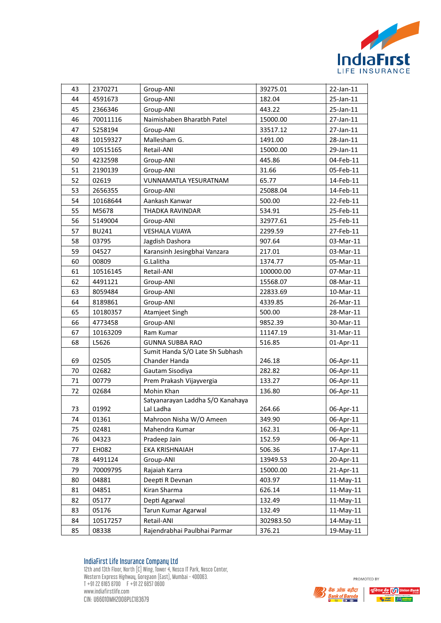

| 43 | 2370271      | Group-ANI                        | 39275.01  | 22-Jan-11 |
|----|--------------|----------------------------------|-----------|-----------|
| 44 | 4591673      | Group-ANI                        | 182.04    | 25-Jan-11 |
| 45 | 2366346      | Group-ANI                        | 443.22    | 25-Jan-11 |
| 46 | 70011116     | Naimishaben Bharatbh Patel       | 15000.00  | 27-Jan-11 |
| 47 | 5258194      | Group-ANI                        | 33517.12  | 27-Jan-11 |
| 48 | 10159327     | Mallesham G.                     | 1491.00   | 28-Jan-11 |
| 49 | 10515165     | Retail-ANI                       | 15000.00  | 29-Jan-11 |
| 50 | 4232598      | Group-ANI                        | 445.86    | 04-Feb-11 |
| 51 | 2190139      | Group-ANI                        | 31.66     | 05-Feb-11 |
| 52 | 02619        | <b>VUNNAMATLA YESURATNAM</b>     | 65.77     | 14-Feb-11 |
| 53 | 2656355      | Group-ANI                        | 25088.04  | 14-Feb-11 |
| 54 | 10168644     | Aankash Kanwar                   | 500.00    | 22-Feb-11 |
| 55 | M5678        | THADKA RAVINDAR                  | 534.91    | 25-Feb-11 |
| 56 | 5149004      | Group-ANI                        | 32977.61  | 25-Feb-11 |
| 57 | <b>BU241</b> | <b>VESHALA VIJAYA</b>            | 2299.59   | 27-Feb-11 |
| 58 | 03795        | Jagdish Dashora                  | 907.64    | 03-Mar-11 |
| 59 | 04527        | Karansinh Jesingbhai Vanzara     | 217.01    | 03-Mar-11 |
| 60 | 00809        | G.Lalitha                        | 1374.77   | 05-Mar-11 |
| 61 | 10516145     | Retail-ANI                       | 100000.00 | 07-Mar-11 |
| 62 | 4491121      | Group-ANI                        | 15568.07  | 08-Mar-11 |
| 63 | 8059484      | Group-ANI                        | 22833.69  | 10-Mar-11 |
| 64 | 8189861      | Group-ANI                        | 4339.85   | 26-Mar-11 |
| 65 | 10180357     | Atamjeet Singh                   | 500.00    | 28-Mar-11 |
| 66 | 4773458      | Group-ANI                        | 9852.39   | 30-Mar-11 |
| 67 | 10163209     | Ram Kumar                        | 11147.19  | 31-Mar-11 |
| 68 | L5626        | <b>GUNNA SUBBA RAO</b>           | 516.85    | 01-Apr-11 |
|    |              | Sumit Handa S/O Late Sh Subhash  |           |           |
| 69 | 02505        | Chander Handa                    | 246.18    | 06-Apr-11 |
| 70 | 02682        | Gautam Sisodiya                  | 282.82    | 06-Apr-11 |
| 71 | 00779        | Prem Prakash Vijayvergia         | 133.27    | 06-Apr-11 |
| 72 | 02684        | Mohin Khan                       | 136.80    | 06-Apr-11 |
|    |              | Satyanarayan Laddha S/O Kanahaya |           |           |
| 73 | 01992        | Lal Ladha                        | 264.66    | 06-Apr-11 |
| 74 | 01361        | Mahroon Nisha W/O Ameen          | 349.90    | 06-Apr-11 |
| 75 | 02481        | Mahendra Kumar                   | 162.31    | 06-Apr-11 |
| 76 | 04323        | Pradeep Jain                     | 152.59    | 06-Apr-11 |
| 77 | EH082        | EKA KRISHNAIAH                   | 506.36    | 17-Apr-11 |
| 78 | 4491124      | Group-ANI                        | 13949.53  | 20-Apr-11 |
| 79 | 70009795     | Rajaiah Karra                    | 15000.00  | 21-Apr-11 |
| 80 | 04881        | Deepti R Devnan                  | 403.97    | 11-May-11 |
| 81 | 04851        | Kiran Sharma                     | 626.14    | 11-May-11 |
| 82 | 05177        | Depti Agarwal                    | 132.49    | 11-May-11 |
| 83 | 05176        | Tarun Kumar Agarwal              | 132.49    | 11-May-11 |
| 84 | 10517257     | Retail-ANI                       | 302983.50 | 14-May-11 |
| 85 | 08338        | Rajendrabhai Paulbhai Parmar     | 376.21    | 19-May-11 |



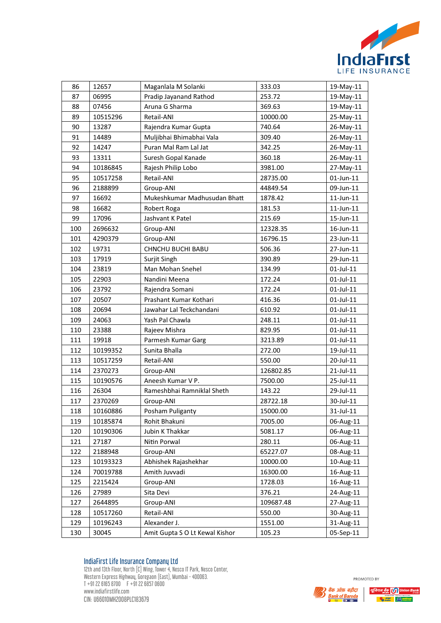

| 86  | 12657    | Maganlala M Solanki            | 333.03    | 19-May-11       |
|-----|----------|--------------------------------|-----------|-----------------|
| 87  | 06995    | Pradip Jayanand Rathod         | 253.72    | 19-May-11       |
| 88  | 07456    | Aruna G Sharma                 | 369.63    | 19-May-11       |
| 89  | 10515296 | Retail-ANI                     | 10000.00  | 25-May-11       |
| 90  | 13287    | Rajendra Kumar Gupta           | 740.64    | 26-May-11       |
| 91  | 14489    | Muljibhai Bhimabhai Vala       | 309.40    | 26-May-11       |
| 92  | 14247    | Puran Mal Ram Lal Jat          | 342.25    | 26-May-11       |
| 93  | 13311    | Suresh Gopal Kanade            | 360.18    | 26-May-11       |
| 94  | 10186845 | Rajesh Philip Lobo             | 3981.00   | 27-May-11       |
| 95  | 10517258 | Retail-ANI                     | 28735.00  | $01$ -Jun- $11$ |
| 96  | 2188899  | Group-ANI                      | 44849.54  | 09-Jun-11       |
| 97  | 16692    | Mukeshkumar Madhusudan Bhatt   | 1878.42   | $11$ -Jun- $11$ |
| 98  | 16682    | Robert Roga                    | 181.53    | $11$ -Jun- $11$ |
| 99  | 17096    | Jashvant K Patel               | 215.69    | 15-Jun-11       |
| 100 | 2696632  | Group-ANI                      | 12328.35  | 16-Jun-11       |
| 101 | 4290379  | Group-ANI                      | 16796.15  | 23-Jun-11       |
| 102 | L9731    | <b>CHNCHU BUCHI BABU</b>       | 506.36    | 27-Jun-11       |
| 103 | 17919    | Surjit Singh                   | 390.89    | 29-Jun-11       |
| 104 | 23819    | Man Mohan Snehel               | 134.99    | $01$ -Jul- $11$ |
| 105 | 22903    | Nandini Meena                  | 172.24    | 01-Jul-11       |
| 106 | 23792    | Rajendra Somani                | 172.24    | 01-Jul-11       |
| 107 | 20507    | Prashant Kumar Kothari         | 416.36    | $01$ -Jul-11    |
| 108 | 20694    | Jawahar Lal Teckchandani       | 610.92    | 01-Jul-11       |
| 109 | 24063    | Yash Pal Chawla                | 248.11    | 01-Jul-11       |
| 110 | 23388    | Rajeev Mishra                  | 829.95    | 01-Jul-11       |
| 111 | 19918    | Parmesh Kumar Garg             | 3213.89   | $01$ -Jul- $11$ |
| 112 | 10199352 | Sunita Bhalla                  | 272.00    | 19-Jul-11       |
| 113 | 10517259 | Retail-ANI                     | 550.00    | 20-Jul-11       |
| 114 | 2370273  | Group-ANI                      | 126802.85 | 21-Jul-11       |
| 115 | 10190576 | Aneesh Kumar V P.              | 7500.00   | 25-Jul-11       |
| 116 | 26304    | Rameshbhai Ramniklal Sheth     | 143.22    | 29-Jul-11       |
| 117 | 2370269  | Group-ANI                      | 28722.18  | 30-Jul-11       |
| 118 | 10160886 | Posham Puliganty               | 15000.00  | 31-Jul-11       |
| 119 | 10185874 | Rohit Bhakuni                  | 7005.00   | 06-Aug-11       |
| 120 | 10190306 | Jubin K Thakkar                | 5081.17   | 06-Aug-11       |
| 121 | 27187    | Nitin Porwal                   | 280.11    | 06-Aug-11       |
| 122 | 2188948  | Group-ANI                      | 65227.07  | 08-Aug-11       |
| 123 | 10193323 | Abhishek Rajashekhar           | 10000.00  | 10-Aug-11       |
| 124 | 70019788 | Amith Juvvadi                  | 16300.00  | 16-Aug-11       |
| 125 | 2215424  | Group-ANI                      | 1728.03   | 16-Aug-11       |
| 126 | 27989    | Sita Devi                      | 376.21    | 24-Aug-11       |
| 127 | 2644895  | Group-ANI                      | 109687.48 | 27-Aug-11       |
| 128 | 10517260 | Retail-ANI                     | 550.00    | 30-Aug-11       |
| 129 | 10196243 | Alexander J.                   | 1551.00   | 31-Aug-11       |
| 130 | 30045    | Amit Gupta S O Lt Kewal Kishor | 105.23    | 05-Sep-11       |